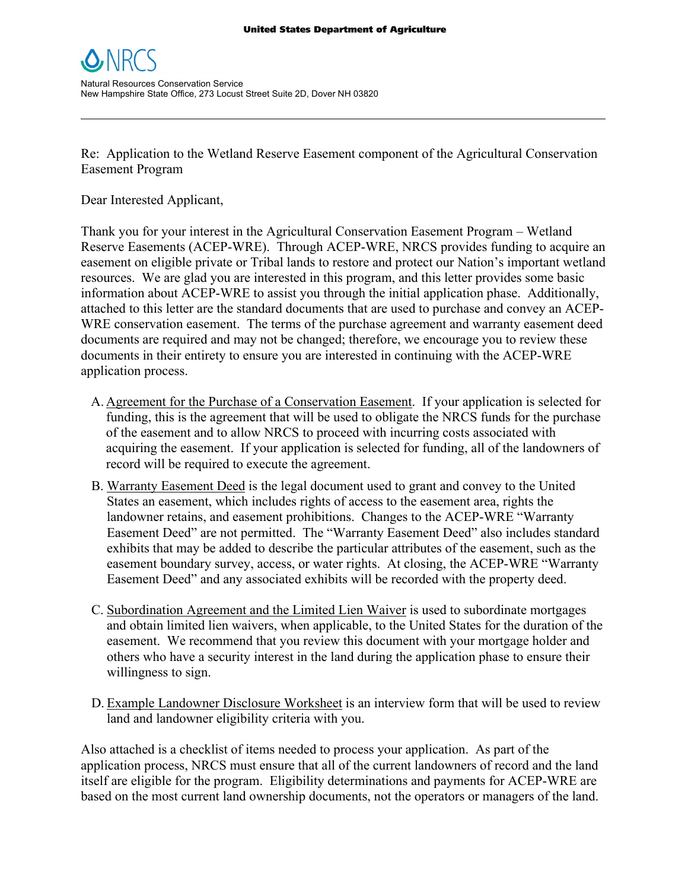

Re: Application to the Wetland Reserve Easement component of the Agricultural Conservation Easement Program

\_\_\_\_\_\_\_\_\_\_\_\_\_\_\_\_\_\_\_\_\_\_\_\_\_\_\_\_\_\_\_\_\_\_\_\_\_\_\_\_\_\_\_\_\_\_\_\_\_\_\_\_\_\_\_\_\_\_\_\_\_\_\_\_\_\_\_\_\_\_\_\_\_\_\_\_\_\_\_\_\_\_\_\_\_\_\_\_\_\_\_\_\_\_\_\_\_\_\_\_\_\_\_\_\_

Dear Interested Applicant,

Thank you for your interest in the Agricultural Conservation Easement Program – Wetland Reserve Easements (ACEP-WRE). Through ACEP-WRE, NRCS provides funding to acquire an easement on eligible private or Tribal lands to restore and protect our Nation's important wetland resources. We are glad you are interested in this program, and this letter provides some basic information about ACEP-WRE to assist you through the initial application phase. Additionally, attached to this letter are the standard documents that are used to purchase and convey an ACEP-WRE conservation easement. The terms of the purchase agreement and warranty easement deed documents are required and may not be changed; therefore, we encourage you to review these documents in their entirety to ensure you are interested in continuing with the ACEP-WRE application process.

- A. Agreement for the Purchase of a Conservation Easement. If your application is selected for funding, this is the agreement that will be used to obligate the NRCS funds for the purchase of the easement and to allow NRCS to proceed with incurring costs associated with acquiring the easement. If your application is selected for funding, all of the landowners of record will be required to execute the agreement.
- B. Warranty Easement Deed is the legal document used to grant and convey to the United States an easement, which includes rights of access to the easement area, rights the landowner retains, and easement prohibitions. Changes to the ACEP-WRE "Warranty Easement Deed" are not permitted. The "Warranty Easement Deed" also includes standard exhibits that may be added to describe the particular attributes of the easement, such as the easement boundary survey, access, or water rights. At closing, the ACEP-WRE "Warranty Easement Deed" and any associated exhibits will be recorded with the property deed.
- C. Subordination Agreement and the Limited Lien Waiver is used to subordinate mortgages and obtain limited lien waivers, when applicable, to the United States for the duration of the easement. We recommend that you review this document with your mortgage holder and others who have a security interest in the land during the application phase to ensure their willingness to sign.
- D. Example Landowner Disclosure Worksheet is an interview form that will be used to review land and landowner eligibility criteria with you.

Also attached is a checklist of items needed to process your application. As part of the application process, NRCS must ensure that all of the current landowners of record and the land itself are eligible for the program. Eligibility determinations and payments for ACEP-WRE are based on the most current land ownership documents, not the operators or managers of the land.